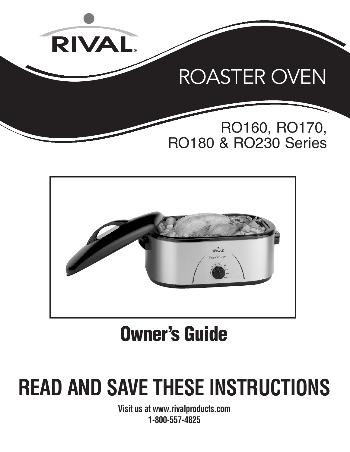



# **Owner's Guide**

# **READ AND SAVE THESE INSTRUCTIONS**

**Visit us at www.rivalproducts.com 1-800-557-4825**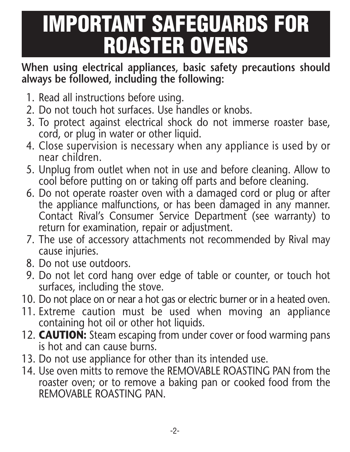# **IMPORTANT SAFEGUARDS FOR ROASTER OVENS**

### **When using electrical appliances, basic safety precautions should always be followed, including the following:**

- 1. Read all instructions before using.
- 2. Do not touch hot surfaces. Use handles or knobs.
- 3. To protect against electrical shock do not immerse roaster base, cord, or plug in water or other liquid.
- 4. Close supervision is necessary when any appliance is used by or near children.
- 5. Unplug from outlet when not in use and before cleaning. Allow to cool before putting on or taking off parts and before cleaning.
- 6. Do not operate roaster oven with a damaged cord or plug or after the appliance malfunctions, or has been damaged in any manner. Contact Rival's Consumer Service Department (see warranty) to return for examination, repair or adjustment.
- 7. The use of accessory attachments not recommended by Rival may cause injuries.
- 8. Do not use outdoors.
- 9. Do not let cord hang over edge of table or counter, or touch hot surfaces, including the stove.
- 10. Do not place on or near a hot gas or electric burner or in a heated oven.
- 11. Extreme caution must be used when moving an appliance containing hot oil or other hot liquids.
- 12. **CAUTION:** Steam escaping from under cover or food warming pans is hot and can cause burns.
- 13. Do not use appliance for other than its intended use.
- 14. Use oven mitts to remove the REMOVABLE ROASTING PAN from the roaster oven; or to remove a baking pan or cooked food from the REMOVABLE ROASTING PAN.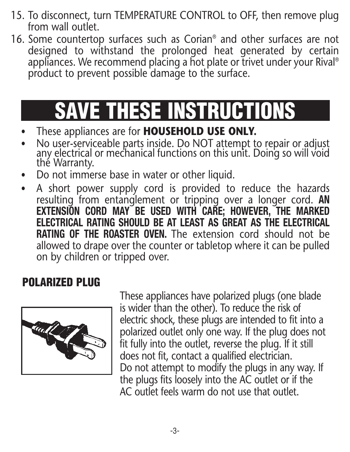- 15. To disconnect, turn TEMPERATURE CONTROL to OFF, then remove plug from wall outlet.
- 16. Some countertop surfaces such as Corian® and other surfaces are not designed to withstand the prolonged heat generated by certain appliances. We recommend placing a hot plate or trivet under your Rival ® product to prevent possible damage to the surface.

# **SAVE THESE INSTRUCTIONS**

- These appliances are for **HOUSEHOLD USE ONLY.**
- No user-serviceable parts inside. Do NOT attempt to repair or adjust any electrical or mechanical functions on this unit. Doing so will void the Warranty.
- Do not immerse base in water or other liquid.
- A short power supply cord is provided to reduce the hazards resulting from entanglement or tripping over a longer cord. **AN EXTENSION CORD MAY BE USED WITH CARE; HOWEVER, THE MARKED ELECTRICAL RATING SHOULD BE AT LEAST AS GREAT AS THE ELECTRICAL RATING OF THE ROASTER OVEN.** The extension cord should not be allowed to drape over the counter or tabletop where it can be pulled on by children or tripped over.

# **POLARIZED PLUG**



These appliances have polarized plugs (one blade is wider than the other). To reduce the risk of electric shock, these plugs are intended to fit into a polarized outlet only one way. If the plug does not fit fully into the outlet, reverse the plug. If it still does not fit, contact a qualified electrician. Do not attempt to modify the plugs in any way. If the plugs fits loosely into the AC outlet or if the AC outlet feels warm do not use that outlet.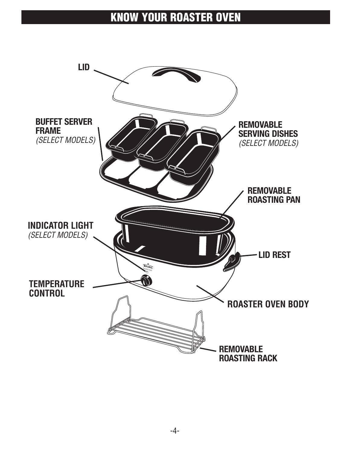### **KNOW YOUR ROASTER OVEN**

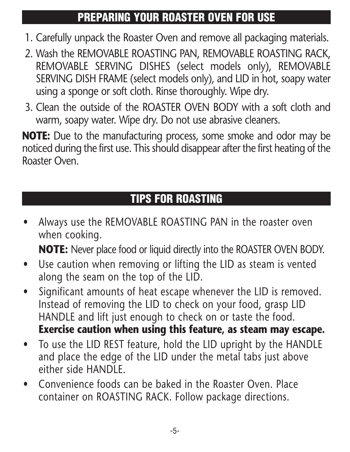# **PREPARING YOUR ROASTER OVEN FOR USE**

- 1. Carefully unpack the Roaster Oven and remove all packaging materials.
- 2. Wash the REMOVABLE ROASTING PAN, REMOVABLE ROASTING RACK, REMOVABLE SERVING DISHES (select models only), REMOVABLE SERVING DISH FRAME (select models only), and LID in hot, soapy water using a sponge or soft cloth. Rinse thoroughly. Wipe dry.
- 3. Clean the outside of the ROASTER OVEN BODY with a soft cloth and warm, soapy water. Wipe dry. Do not use abrasive cleaners.

**NOTE:** Due to the manufacturing process, some smoke and odor may be noticed during the first use. This should disappear after the first heating of the Roaster Oven.

# **TIPS FOR ROASTING**

• Always use the REMOVABLE ROASTING PAN in the roaster oven when cooking.

**NOTE:** Never place food or liquid directly into the ROASTER OVEN BODY.

- Use caution when removing or lifting the LID as steam is vented along the seam on the top of the LID.
- Significant amounts of heat escape whenever the LID is removed. Instead of removing the LID to check on your food, grasp LID HANDLE and lift just enough to check on or taste the food. **Exercise caution when using this feature, as steam may escape.**
- To use the LID REST feature, hold the LID upright by the HANDLE and place the edge of the LID under the metal tabs just above either side HANDLE.
- Convenience foods can be baked in the Roaster Oven. Place container on ROASTING RACK. Follow package directions.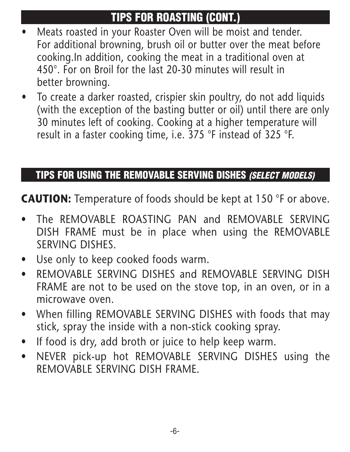# **TIPS FOR ROASTING (CONT.)**

- Meats roasted in your Roaster Oven will be moist and tender. For additional browning, brush oil or butter over the meat before cooking.In addition, cooking the meat in a traditional oven at 450°. For on Broil for the last 20-30 minutes will result in better browning.
- To create a darker roasted, crispier skin poultry, do not add liquids (with the exception of the basting butter or oil) until there are only 30 minutes left of cooking. Cooking at a higher temperature will result in a faster cooking time, i.e. 375 °F instead of 325 °F.

### **TIPS FOR USING THE REMOVABLE SERVING DISHES** *(SELECT MODELS)*

**CAUTION:** Temperature of foods should be kept at 150 °F or above.

- The REMOVABLE ROASTING PAN and REMOVABLE SERVING DISH FRAME must be in place when using the REMOVABLE SERVING DISHES.
- Use only to keep cooked foods warm.
- REMOVABLE SERVING DISHES and REMOVABLE SERVING DISH FRAME are not to be used on the stove top, in an oven, or in a microwave oven.
- When filling REMOVABLE SERVING DISHES with foods that may stick, spray the inside with a non-stick cooking spray.
- If food is dry, add broth or juice to help keep warm.
- NEVER pick-up hot REMOVABLE SERVING DISHES using the REMOVABLE SERVING DISH FRAME.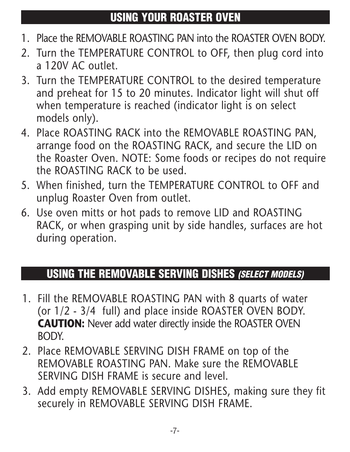## **USING YOUR ROASTER OVEN**

- 1. Place the REMOVABLE ROASTING PAN into the ROASTER OVEN BODY.
- 2. Turn the TEMPERATURE CONTROL to OFF, then plug cord into a 120V AC outlet.
- 3. Turn the TEMPERATURE CONTROL to the desired temperature and preheat for 15 to 20 minutes. Indicator light will shut off when temperature is reached (indicator light is on select models only).
- 4. Place ROASTING RACK into the REMOVABLE ROASTING PAN, arrange food on the ROASTING RACK, and secure the LID on the Roaster Oven. NOTE: Some foods or recipes do not require the ROASTING RACK to be used.
- 5. When finished, turn the TEMPERATURE CONTROL to OFF and unplug Roaster Oven from outlet.
- 6. Use oven mitts or hot pads to remove LID and ROASTING RACK, or when grasping unit by side handles, surfaces are hot during operation.

# **USING THE REMOVABLE SERVING DISHES** *(SELECT MODELS)*

- 1. Fill the REMOVABLE ROASTING PAN with 8 quarts of water (or 1/2 - 3/4 full) and place inside ROASTER OVEN BODY. **CAUTION:** Never add water directly inside the ROASTER OVEN BODY.
- 2. Place REMOVABLE SERVING DISH FRAME on top of the REMOVABLE ROASTING PAN. Make sure the REMOVABLE SERVING DISH FRAME is secure and level.
- 3. Add empty REMOVABLE SERVING DISHES, making sure they fit securely in REMOVABLE SERVING DISH FRAME.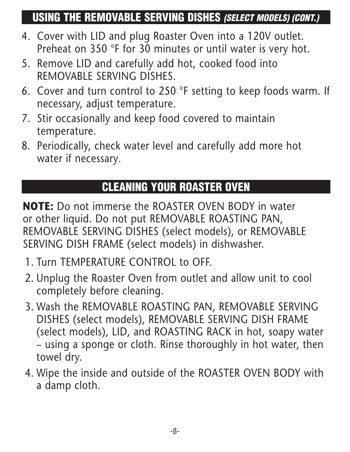## **USING THE REMOVABLE SERVING DISHES** *(SELECT MODELS) (CONT.)*

- 4. Cover with LID and plug Roaster Oven into a 120V outlet. Preheat on 350 °F for 30 minutes or until water is very hot.
- 5. Remove LID and carefully add hot, cooked food into REMOVABLE SERVING DISHES.
- 6. Cover and turn control to 250 °F setting to keep foods warm. If necessary, adjust temperature.
- 7. Stir occasionally and keep food covered to maintain temperature.
- 8. Periodically, check water level and carefully add more hot water if necessary.

# **CLEANING YOUR ROASTER OVEN**

**NOTE:** Do not immerse the ROASTER OVEN BODY in water or other liquid. Do not put REMOVABLE ROASTING PAN, REMOVABLE SERVING DISHES (select models), or REMOVABLE SERVING DISH FRAME (select models) in dishwasher.

- 1. Turn TEMPERATURE CONTROL to OFF.
- 2. Unplug the Roaster Oven from outlet and allow unit to cool completely before cleaning.
- 3. Wash the REMOVABLE ROASTING PAN, REMOVABLE SERVING DISHES (select models), REMOVABLE SERVING DISH FRAME (select models), LID, and ROASTING RACK in hot, soapy water – using a sponge or cloth. Rinse thoroughly in hot water, then towel dry.
- 4. Wipe the inside and outside of the ROASTER OVEN BODY with a damp cloth.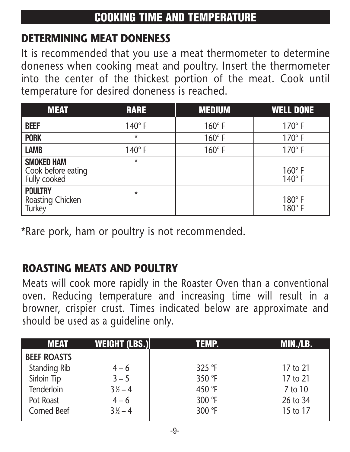# **DETERMINING MEAT DONENESS**

It is recommended that you use a meat thermometer to determine doneness when cooking meat and poultry. Insert the thermometer into the center of the thickest portion of the meat. Cook until temperature for desired doneness is reached.

| <b>MEAT</b>                                             | <b>RARE</b>   | <b>MEDIUM</b> | <b>WELL DONE</b>               |
|---------------------------------------------------------|---------------|---------------|--------------------------------|
| <b>BEEF</b>                                             | $140^\circ$ F | $160^\circ$ F | $170^\circ$ F                  |
| <b>PORK</b>                                             | $\star$       | $160^\circ$ F | $170^\circ$ F                  |
| <b>LAMB</b>                                             | $140^\circ$ F | $160^\circ$ F | $170^\circ$ F                  |
| <b>SMOKED HAM</b><br>Cook before eating<br>Fully cooked | $\star$       |               | $160^\circ$ F<br>$140^\circ$ F |
| <b>POULTRY</b><br>Roasting Chicken<br>Turkey            | $\star$       |               | $180^\circ$ F<br>$180^\circ$ F |

\*Rare pork, ham or poultry is not recommended.

# **ROASTING MEATS AND POULTRY**

Meats will cook more rapidly in the Roaster Oven than a conventional oven. Reducing temperature and increasing time will result in a browner, crispier crust. Times indicated below are approximate and should be used as a guideline only.

| WEIGHT (LBS.)    | TEMP.    | <b>MIN./LB.</b> |
|------------------|----------|-----------------|
|                  |          |                 |
| $4 - 6$          | $325$ °F | 17 to 21        |
| $3 - 5$          | 350 °F   | 17 to 21        |
| $3\frac{1}{2}-4$ | 450 °F   | 7 to 10         |
| $4 - 6$          | 300 °F   | 26 to 34        |
| $3\frac{1}{2}-4$ | 300 °F   | 15 to 17        |
|                  |          |                 |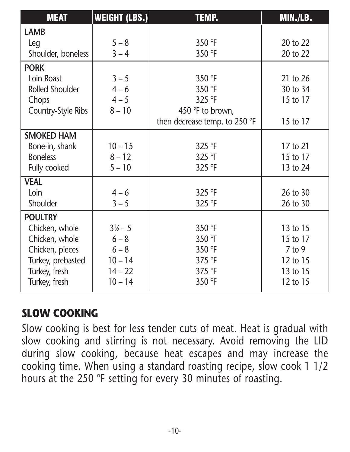| <b>MEAT</b>               | WEIGHT (LBS.)    | <b>TEMP.</b>                  | MIN./LB. |
|---------------------------|------------------|-------------------------------|----------|
| <b>LAMB</b>               |                  |                               |          |
| Leg                       | $5 - 8$          | 350 °F                        | 20 to 22 |
| Shoulder, boneless        | $3 - 4$          | 350 °F                        | 20 to 22 |
| <b>PORK</b>               |                  |                               |          |
| Loin Roast                | $3 - 5$          | 350 °F                        | 21 to 26 |
| <b>Rolled Shoulder</b>    | $4 - 6$          | 350 °F                        | 30 to 34 |
| Chops                     | $4 - 5$          | 325 °F                        | 15 to 17 |
| <b>Country-Style Ribs</b> | $8 - 10$         | 450 °F to brown,              |          |
|                           |                  | then decrease temp. to 250 °F | 15 to 17 |
| <b>SMOKED HAM</b>         |                  |                               |          |
| Bone-in, shank            | $10 - 15$        | 325 °F                        | 17 to 21 |
| <b>Boneless</b>           | $8 - 12$         | 325 °F                        | 15 to 17 |
| Fully cooked              | $5 - 10$         | 325 °F                        | 13 to 24 |
| <b>VEAL</b>               |                  |                               |          |
| Loin                      | $4 - 6$          | 325 °F                        | 26 to 30 |
| Shoulder                  | $3 - 5$          | 325 °F                        | 26 to 30 |
| <b>POULTRY</b>            |                  |                               |          |
| Chicken, whole            | $3\frac{1}{2}-5$ | 350 °F                        | 13 to 15 |
| Chicken, whole            | $6 - 8$          | 350 °F                        | 15 to 17 |
| Chicken, pieces           | $6 - 8$          | 350 °F                        | $7$ to 9 |
| Turkey, prebasted         | $10 - 14$        | 375 °F                        | 12 to 15 |
| Turkey, fresh             | $14 - 22$        | 375 °F                        | 13 to 15 |
| Turkey, fresh             | $10 - 14$        | 350 °F                        | 12 to 15 |

## **SLOW COOKING**

Slow cooking is best for less tender cuts of meat. Heat is gradual with slow cooking and stirring is not necessary. Avoid removing the LID during slow cooking, because heat escapes and may increase the cooking time. When using a standard roasting recipe, slow cook 1 1/2 hours at the 250 °F setting for every 30 minutes of roasting.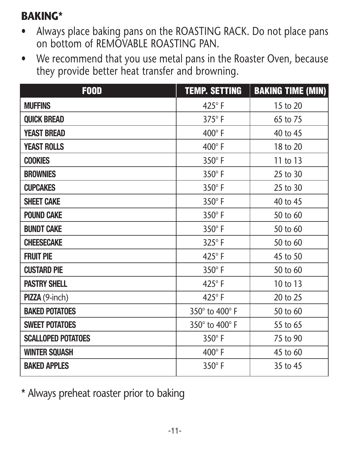### **BAKING\***

- Always place baking pans on the ROASTING RACK. Do not place pans on bottom of REMOVABLE ROASTING PAN.
- We recommend that you use metal pans in the Roaster Oven, because they provide better heat transfer and browning.

| <b>F00D</b>               | <b>TEMP. SETTING</b> | <b>BAKING TIME (MIN)</b> |
|---------------------------|----------------------|--------------------------|
| <b>MUFFINS</b>            | $425^\circ$ F        | 15 to 20                 |
| <b>QUICK BREAD</b>        | $375^\circ$ F        | 65 to 75                 |
| <b>YEAST BREAD</b>        | $400^\circ$ F        | 40 to 45                 |
| <b>YEAST ROLLS</b>        | $400^\circ$ F        | 18 to 20                 |
| <b>COOKIES</b>            | $350^\circ$ F        | 11 to 13                 |
| <b>BROWNIES</b>           | $350^\circ$ F        | 25 to 30                 |
| <b>CUPCAKES</b>           | 350°F                | 25 to 30                 |
| <b>SHEET CAKE</b>         | $350^\circ$ F        | 40 to 45                 |
| <b>POUND CAKE</b>         | 350°F                | 50 to 60                 |
| <b>BUNDT CAKE</b>         | $350^\circ$ F        | 50 to 60                 |
| <b>CHEESECAKE</b>         | $325^\circ$ F        | 50 to 60                 |
| <b>FRUIT PIE</b>          | $425^\circ$ F        | 45 to 50                 |
| <b>CUSTARD PIE</b>        | 350°F                | 50 to 60                 |
| <b>PASTRY SHELL</b>       | 425°F                | 10 to 13                 |
| PIZZA (9-inch)            | $425^\circ$ F        | 20 to 25                 |
| <b>BAKED POTATOES</b>     | 350° to 400° F       | 50 to 60                 |
| <b>SWEET POTATOES</b>     | 350° to 400° F       | 55 to 65                 |
| <b>SCALLOPED POTATOES</b> | 350°F                | 75 to 90                 |
| <b>WINTER SQUASH</b>      | $400^\circ$ F        | 45 to 60                 |
| <b>BAKED APPLES</b>       | $350^\circ$ F        | 35 to 45                 |

\* Always preheat roaster prior to baking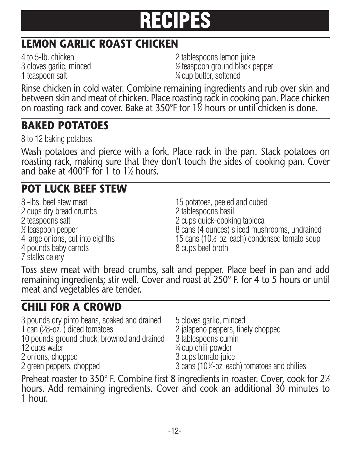

# **LEMON GARLIC ROAST CHICKEN**

3 cloves garlic, minced <sup>1</sup> 1 teaspoon salt

4 to 5-lb. chicken 2 tablespoons lemon juice ⁄2 teaspoon ground black pepper ⁄4 cup butter, softened

Rinse chicken in cold water. Combine remaining ingredients and rub over skin and between skin and meat of chicken. Place roasting rack in cooking pan. Place chicken on roasting rack and cover. Bake at 350°F for 11 ⁄2 hours or until chicken is done.

#### **BAKED POTATOES**

8 to 12 baking potatoes

Wash potatoes and pierce with a fork. Place rack in the pan. Stack potatoes on roasting rack, making sure that they don't touch the sides of cooking pan. Cover and bake at 400 $^{\circ}$ F for 1 to 1 $\frac{1}{2}$  hours.

# **POT LUCK BEEF STEW**

8 -lbs. beef stew meat 15 potatoes, peeled and cubed 2 cups dry bread crumbs<br>2 teaspoons salt  $\frac{1}{2}$  teaspoon pepper 4 large onions, cut into eighths 15 cans (10½-oz.<br>4 pounds baby carrots 6 cups beef broth 4 pounds baby carrots 7 stalks celery

2 cups quick-cooking tapioca 8 cans (4 ounces) sliced mushrooms, undrained ⁄2-oz. each) condensed tomato soup

Toss stew meat with bread crumbs, salt and pepper. Place beef in pan and add remaining ingredients; stir well. Cover and roast at 250° F. for 4 to 5 hours or until meat and vegetables are tender.

## **CHILI FOR A CROWD**

3 pounds dry pinto beans, soaked and drained 5 cloves garlic, minced<br>1 can (28-oz.) diced tomatoes 2 jalapeno peppers, fine 10 pounds ground chuck, browned and drained 12 cups water<br>
2 onions, chopped<br>
3 cups tomato juice 2 onions, chopped

2 green peppers, chopped

2 jalapeno peppers, finely chopped<br>3 tablespoons cumin

⁄4 cup chili powder

⁄2-oz. each) tomatoes and chilies

Preheat roaster to 350° F. Combine first 8 ingredients in roaster. Cover, cook for 2½ hours. Add remaining ingredients. Cover and cook an additional 30 minutes to 1 hour.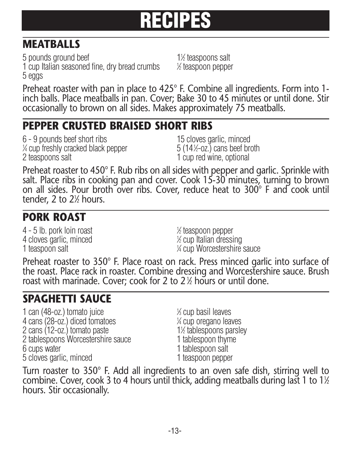# **RECIPES**

# **MEATBALLS**

5 pounds ground beef 1 cup Italian seasoned fine, dry bread crumbs <sup>1</sup> 5 eggs

⁄2 teaspoons salt ⁄2 teaspoon pepper

Preheat roaster with pan in place to 425° F. Combine all ingredients. Form into 1 inch balls. Place meatballs in pan. Cover; Bake 30 to 45 minutes or until done. Stir occasionally to brown on all sides. Makes approximately 75 meatballs.

### **PEPPER CRUSTED BRAISED SHORT RIBS**

6 - 9 pounds beef short ribs 15 cloves garlic, minced  $\%$  cup freshly cracked black pepper  $5\ (141)$ 2 teaspoons salt 1 cup red wine, optional

 $(14\text{-}0z)$  cans beef broth

Preheat roaster to 450° F. Rub ribs on all sides with pepper and garlic. Sprinkle with salt. Place ribs in cooking pan and cover. Cook 15-30 minutes, turning to brown on all sides. Pour broth over ribs. Cover, reduce heat to 300° F and cook until tender, 2 to 2 $\frac{1}{2}$  hours.

# **PORK ROAST**

4 - 5 lb. pork loin roast <sup>1</sup> 4 cloves garlic, minced 1 teaspoon salt

⁄2 teaspoon pepper ⁄2 cup Italian dressing ⁄4 cup Worcestershire sauce

Preheat roaster to 350° F. Place roast on rack. Press minced garlic into surface of the roast. Place rack in roaster. Combine dressing and Worcestershire sauce. Brush roast with marinade. Cover; cook for 2 to 2 $\frac{1}{2}$  hours or until done.

# **SPAGHETTI SAUCE**

1 can  $(48$ -oz.) tomato juice 4 cans (28-oz.) diced tomatoes <sup>1</sup> 2 cans (12-oz.) tomato paste 11/2 tablespoons pars<br>
2 tablespoons Worcestershire sauce 1 tablespoon thyme 2 tablespoons Worcestershire sauce 6 cups water 1 tablespoon salt 5 cloves garlic, minced 1 teaspoon pepper

⁄3 cup basil leaves ⁄4 cup oregano leaves ⁄2 tablespoons parsley

Turn roaster to 350° F. Add all ingredients to an oven safe dish, stirring well to combine. Cover, cook 3 to 4 hours until thick, adding meatballs during last 1 to  $1\%$ hours. Stir occasionally.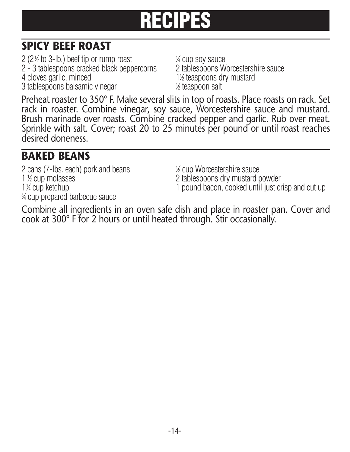# **RECIPES**

# **SPICY BEEF ROAST**

2 (2 $\%$  to 3-lb.) beef tip or rump roast  $1$ 2 - 3 tablespoons cracked black peppercorns 4 cloves garlic, minced 3 tablespoons balsamic vinegar <sup>1</sup>

¼ cup soy sauce<br>2 tablespoons Worcestershire sauce 1<sup> $/2$ </sup> teaspoons dry mustard ⁄2 teaspoon salt

Preheat roaster to 350° F. Make several slits in top of roasts. Place roasts on rack. Set rack in roaster. Combine vinegar, soy sauce, Worcestershire sauce and mustard. Brush marinade over roasts. Combine cracked pepper and garlic. Rub over meat. Sprinkle with salt. Cover; roast 20 to 25 minutes per pound or until roast reaches desired doneness.

### **BAKED BEANS**

2 cans (7-lbs. each) pork and beans <sup>1</sup> 1 % cup molasses 1<sup>1</sup>⁄4 cup ketchup 3 ⁄4 cup prepared barbecue sauce

⁄2 cup Worcestershire sauce 2 tablespoons dry mustard powder 1 pound bacon, cooked until just crisp and cut up

Combine all ingredients in an oven safe dish and place in roaster pan. Cover and cook at 300° F for 2 hours or until heated through. Stir occasionally.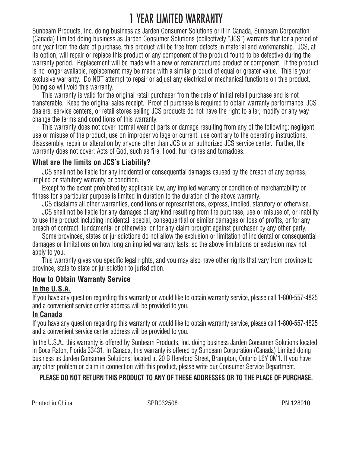# 1 YEAR LIMITED WARRANTY

Sunbeam Products, Inc. doing business as Jarden Consumer Solutions or if in Canada, Sunbeam Corporation (Canada) Limited doing business as Jarden Consumer Solutions (collectively "JCS") warrants that for a period of one year from the date of purchase, this product will be free from defects in material and workmanship. JCS, at its option, will repair or replace this product or any component of the product found to be defective during the warranty period. Replacement will be made with a new or remanufactured product or component. If the product is no longer available, replacement may be made with a similar product of equal or greater value. This is your exclusive warranty. Do NOT attempt to repair or adjust any electrical or mechanical functions on this product. Doing so will void this warranty.

This warranty is valid for the original retail purchaser from the date of initial retail purchase and is not transferable. Keep the original sales receipt. Proof of purchase is required to obtain warranty performance. JCS dealers, service centers, or retail stores selling JCS products do not have the right to alter, modify or any way change the terms and conditions of this warranty.

This warranty does not cover normal wear of parts or damage resulting from any of the following: negligent use or misuse of the product, use on improper voltage or current, use contrary to the operating instructions, disassembly, repair or alteration by anyone other than JCS or an authorized JCS service center. Further, the warranty does not cover: Acts of God, such as fire, flood, hurricanes and tornadoes.

#### **What are the limits on JCS's Liability?**

JCS shall not be liable for any incidental or consequential damages caused by the breach of any express, implied or statutory warranty or condition.

Except to the extent prohibited by applicable law, any implied warranty or condition of merchantability or fitness for a particular purpose is limited in duration to the duration of the above warranty.

JCS disclaims all other warranties, conditions or representations, express, implied, statutory or otherwise.

JCS shall not be liable for any damages of any kind resulting from the purchase, use or misuse of, or inability to use the product including incidental, special, consequential or similar damages or loss of profits, or for any breach of contract, fundamental or otherwise, or for any claim brought against purchaser by any other party.

Some provinces, states or jurisdictions do not allow the exclusion or limitation of incidental or consequential damages or limitations on how long an implied warranty lasts, so the above limitations or exclusion may not apply to you.

This warranty gives you specific legal rights, and you may also have other rights that vary from province to province, state to state or jurisdiction to jurisdiction.

#### **How to Obtain Warranty Service**

#### **In the U.S.A.**

If you have any question regarding this warranty or would like to obtain warranty service, please call 1-800-557-4825 and a convenient service center address will be provided to you.

#### **In Canada**

If you have any question regarding this warranty or would like to obtain warranty service, please call 1-800-557-4825 and a convenient service center address will be provided to you.

In the U.S.A., this warranty is offered by Sunbeam Products, Inc. doing business Jarden Consumer Solutions located in Boca Raton, Florida 33431. In Canada, this warranty is offered by Sunbeam Corporation (Canada) Limited doing business as Jarden Consumer Solutions, located at 20 B Hereford Street, Brampton, Ontario L6Y 0M1. If you have any other problem or claim in connection with this product, please write our Consumer Service Department.

#### **PLEASE DO NOT RETURN THIS PRODUCT TO ANY OF THESE ADDRESSES OR TO THE PLACE OF PURCHASE.**

Printed in China **SPR032508 Prince In the SPR032508** PN 128010